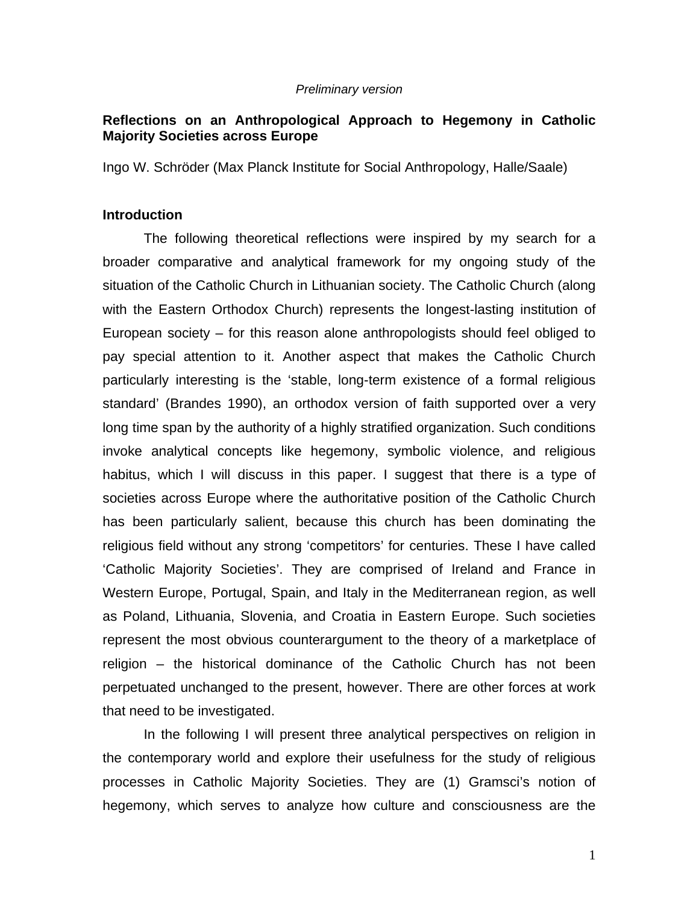#### *Preliminary version*

# **Reflections on an Anthropological Approach to Hegemony in Catholic Majority Societies across Europe**

Ingo W. Schröder (Max Planck Institute for Social Anthropology, Halle/Saale)

### **Introduction**

The following theoretical reflections were inspired by my search for a broader comparative and analytical framework for my ongoing study of the situation of the Catholic Church in Lithuanian society. The Catholic Church (along with the Eastern Orthodox Church) represents the longest-lasting institution of European society – for this reason alone anthropologists should feel obliged to pay special attention to it. Another aspect that makes the Catholic Church particularly interesting is the 'stable, long-term existence of a formal religious standard' (Brandes 1990), an orthodox version of faith supported over a very long time span by the authority of a highly stratified organization. Such conditions invoke analytical concepts like hegemony, symbolic violence, and religious habitus, which I will discuss in this paper. I suggest that there is a type of societies across Europe where the authoritative position of the Catholic Church has been particularly salient, because this church has been dominating the religious field without any strong 'competitors' for centuries. These I have called 'Catholic Majority Societies'. They are comprised of Ireland and France in Western Europe, Portugal, Spain, and Italy in the Mediterranean region, as well as Poland, Lithuania, Slovenia, and Croatia in Eastern Europe. Such societies represent the most obvious counterargument to the theory of a marketplace of religion – the historical dominance of the Catholic Church has not been perpetuated unchanged to the present, however. There are other forces at work that need to be investigated.

In the following I will present three analytical perspectives on religion in the contemporary world and explore their usefulness for the study of religious processes in Catholic Majority Societies. They are (1) Gramsci's notion of hegemony, which serves to analyze how culture and consciousness are the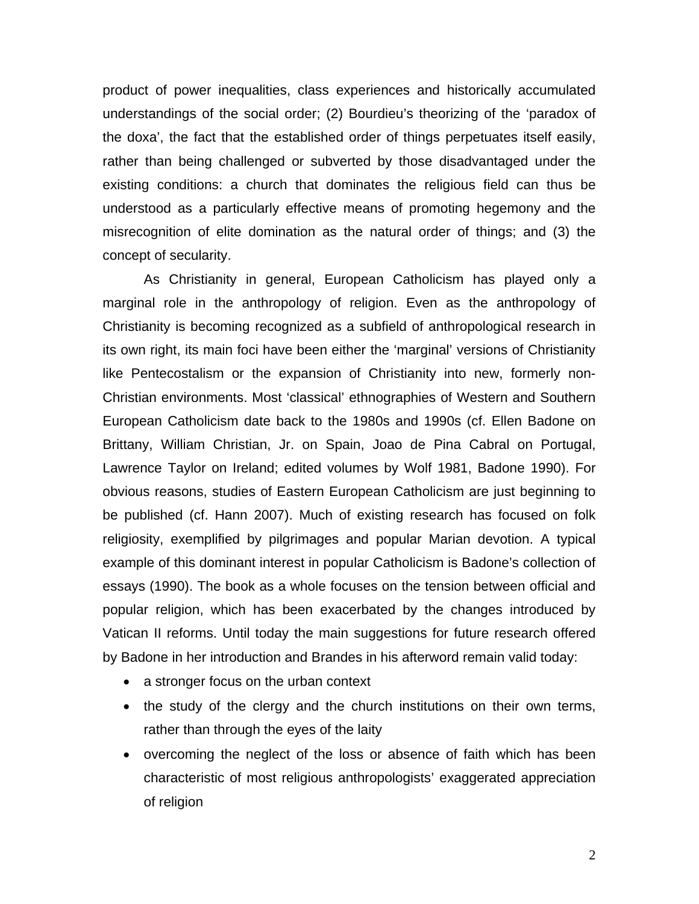product of power inequalities, class experiences and historically accumulated understandings of the social order; (2) Bourdieu's theorizing of the 'paradox of the doxa', the fact that the established order of things perpetuates itself easily, rather than being challenged or subverted by those disadvantaged under the existing conditions: a church that dominates the religious field can thus be understood as a particularly effective means of promoting hegemony and the misrecognition of elite domination as the natural order of things; and (3) the concept of secularity.

As Christianity in general, European Catholicism has played only a marginal role in the anthropology of religion. Even as the anthropology of Christianity is becoming recognized as a subfield of anthropological research in its own right, its main foci have been either the 'marginal' versions of Christianity like Pentecostalism or the expansion of Christianity into new, formerly non-Christian environments. Most 'classical' ethnographies of Western and Southern European Catholicism date back to the 1980s and 1990s (cf. Ellen Badone on Brittany, William Christian, Jr. on Spain, Joao de Pina Cabral on Portugal, Lawrence Taylor on Ireland; edited volumes by Wolf 1981, Badone 1990). For obvious reasons, studies of Eastern European Catholicism are just beginning to be published (cf. Hann 2007). Much of existing research has focused on folk religiosity, exemplified by pilgrimages and popular Marian devotion. A typical example of this dominant interest in popular Catholicism is Badone's collection of essays (1990). The book as a whole focuses on the tension between official and popular religion, which has been exacerbated by the changes introduced by Vatican II reforms. Until today the main suggestions for future research offered by Badone in her introduction and Brandes in his afterword remain valid today:

- a stronger focus on the urban context
- the study of the clergy and the church institutions on their own terms, rather than through the eyes of the laity
- overcoming the neglect of the loss or absence of faith which has been characteristic of most religious anthropologists' exaggerated appreciation of religion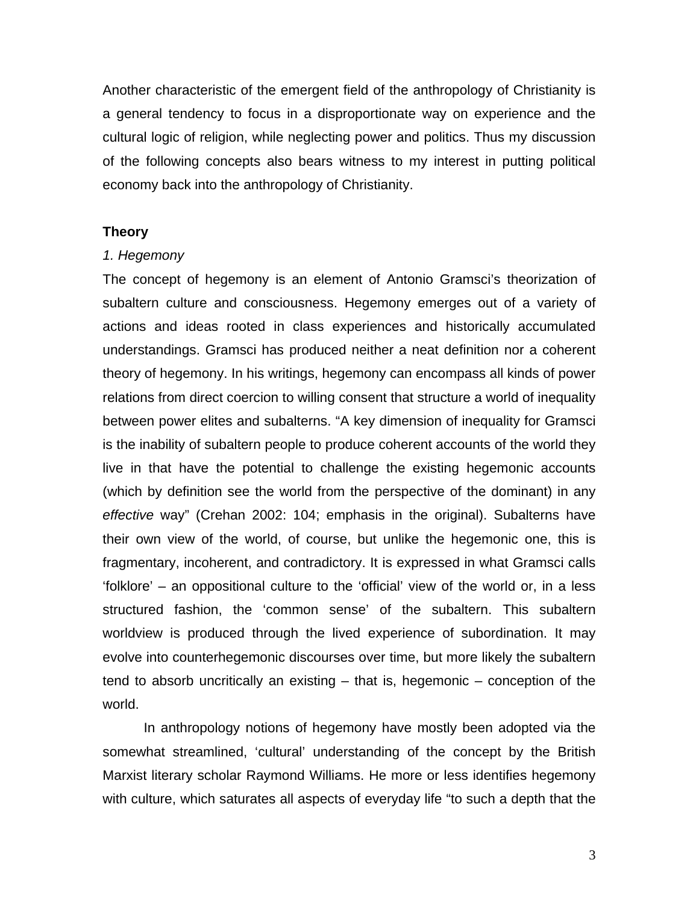Another characteristic of the emergent field of the anthropology of Christianity is a general tendency to focus in a disproportionate way on experience and the cultural logic of religion, while neglecting power and politics. Thus my discussion of the following concepts also bears witness to my interest in putting political economy back into the anthropology of Christianity.

## **Theory**

### *1. Hegemony*

The concept of hegemony is an element of Antonio Gramsci's theorization of subaltern culture and consciousness. Hegemony emerges out of a variety of actions and ideas rooted in class experiences and historically accumulated understandings. Gramsci has produced neither a neat definition nor a coherent theory of hegemony. In his writings, hegemony can encompass all kinds of power relations from direct coercion to willing consent that structure a world of inequality between power elites and subalterns. "A key dimension of inequality for Gramsci is the inability of subaltern people to produce coherent accounts of the world they live in that have the potential to challenge the existing hegemonic accounts (which by definition see the world from the perspective of the dominant) in any *effective* way" (Crehan 2002: 104; emphasis in the original). Subalterns have their own view of the world, of course, but unlike the hegemonic one, this is fragmentary, incoherent, and contradictory. It is expressed in what Gramsci calls 'folklore' – an oppositional culture to the 'official' view of the world or, in a less structured fashion, the 'common sense' of the subaltern. This subaltern worldview is produced through the lived experience of subordination. It may evolve into counterhegemonic discourses over time, but more likely the subaltern tend to absorb uncritically an existing – that is, hegemonic – conception of the world.

In anthropology notions of hegemony have mostly been adopted via the somewhat streamlined, 'cultural' understanding of the concept by the British Marxist literary scholar Raymond Williams. He more or less identifies hegemony with culture, which saturates all aspects of everyday life "to such a depth that the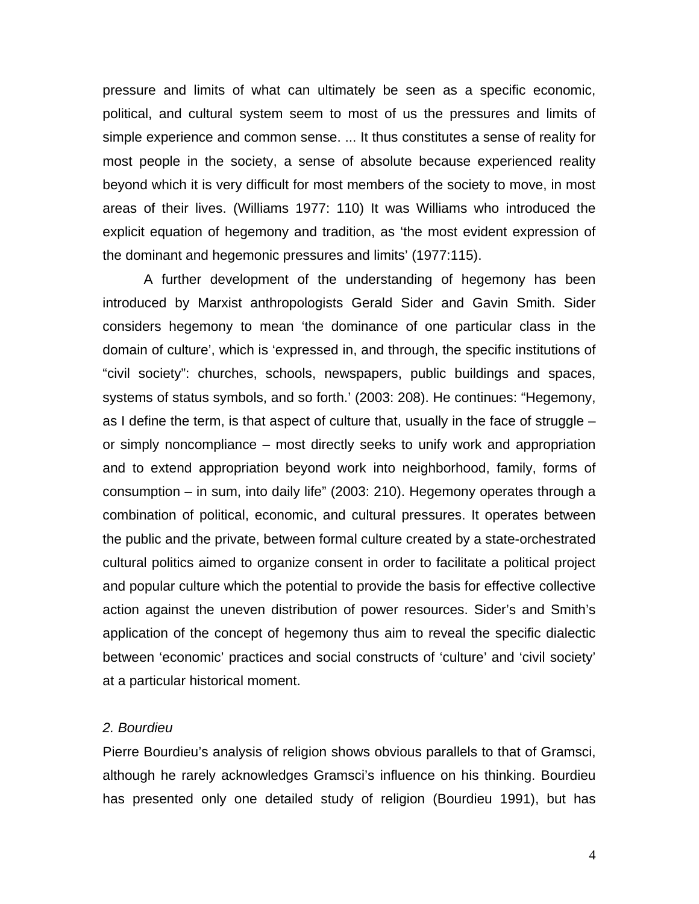pressure and limits of what can ultimately be seen as a specific economic, political, and cultural system seem to most of us the pressures and limits of simple experience and common sense. ... It thus constitutes a sense of reality for most people in the society, a sense of absolute because experienced reality beyond which it is very difficult for most members of the society to move, in most areas of their lives. (Williams 1977: 110) It was Williams who introduced the explicit equation of hegemony and tradition, as 'the most evident expression of the dominant and hegemonic pressures and limits' (1977:115).

A further development of the understanding of hegemony has been introduced by Marxist anthropologists Gerald Sider and Gavin Smith. Sider considers hegemony to mean 'the dominance of one particular class in the domain of culture', which is 'expressed in, and through, the specific institutions of "civil society": churches, schools, newspapers, public buildings and spaces, systems of status symbols, and so forth.' (2003: 208). He continues: "Hegemony, as I define the term, is that aspect of culture that, usually in the face of struggle – or simply noncompliance – most directly seeks to unify work and appropriation and to extend appropriation beyond work into neighborhood, family, forms of consumption – in sum, into daily life" (2003: 210). Hegemony operates through a combination of political, economic, and cultural pressures. It operates between the public and the private, between formal culture created by a state-orchestrated cultural politics aimed to organize consent in order to facilitate a political project and popular culture which the potential to provide the basis for effective collective action against the uneven distribution of power resources. Sider's and Smith's application of the concept of hegemony thus aim to reveal the specific dialectic between 'economic' practices and social constructs of 'culture' and 'civil society' at a particular historical moment.

# *2. Bourdieu*

Pierre Bourdieu's analysis of religion shows obvious parallels to that of Gramsci, although he rarely acknowledges Gramsci's influence on his thinking. Bourdieu has presented only one detailed study of religion (Bourdieu 1991), but has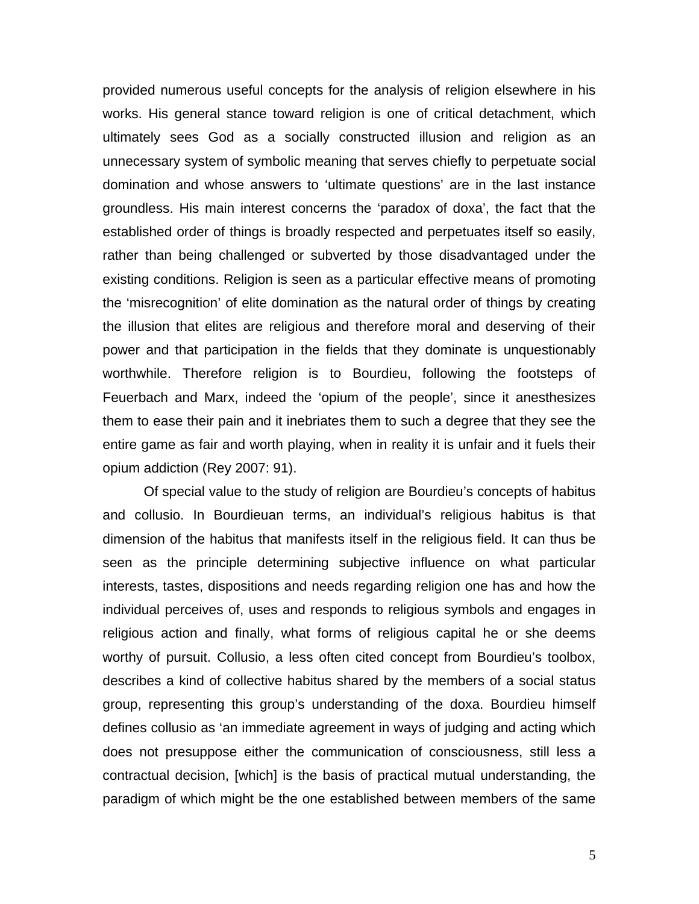provided numerous useful concepts for the analysis of religion elsewhere in his works. His general stance toward religion is one of critical detachment, which ultimately sees God as a socially constructed illusion and religion as an unnecessary system of symbolic meaning that serves chiefly to perpetuate social domination and whose answers to 'ultimate questions' are in the last instance groundless. His main interest concerns the 'paradox of doxa', the fact that the established order of things is broadly respected and perpetuates itself so easily, rather than being challenged or subverted by those disadvantaged under the existing conditions. Religion is seen as a particular effective means of promoting the 'misrecognition' of elite domination as the natural order of things by creating the illusion that elites are religious and therefore moral and deserving of their power and that participation in the fields that they dominate is unquestionably worthwhile. Therefore religion is to Bourdieu, following the footsteps of Feuerbach and Marx, indeed the 'opium of the people', since it anesthesizes them to ease their pain and it inebriates them to such a degree that they see the entire game as fair and worth playing, when in reality it is unfair and it fuels their opium addiction (Rey 2007: 91).

Of special value to the study of religion are Bourdieu's concepts of habitus and collusio. In Bourdieuan terms, an individual's religious habitus is that dimension of the habitus that manifests itself in the religious field. It can thus be seen as the principle determining subjective influence on what particular interests, tastes, dispositions and needs regarding religion one has and how the individual perceives of, uses and responds to religious symbols and engages in religious action and finally, what forms of religious capital he or she deems worthy of pursuit. Collusio, a less often cited concept from Bourdieu's toolbox, describes a kind of collective habitus shared by the members of a social status group, representing this group's understanding of the doxa. Bourdieu himself defines collusio as 'an immediate agreement in ways of judging and acting which does not presuppose either the communication of consciousness, still less a contractual decision, [which] is the basis of practical mutual understanding, the paradigm of which might be the one established between members of the same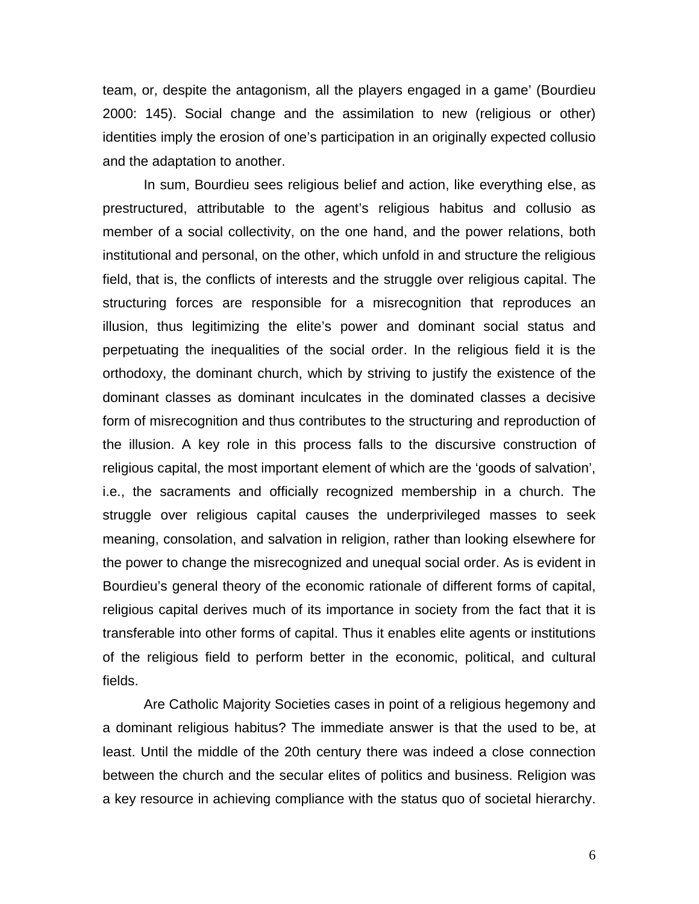team, or, despite the antagonism, all the players engaged in a game' (Bourdieu 2000: 145). Social change and the assimilation to new (religious or other) identities imply the erosion of one's participation in an originally expected collusio and the adaptation to another.

In sum, Bourdieu sees religious belief and action, like everything else, as prestructured, attributable to the agent's religious habitus and collusio as member of a social collectivity, on the one hand, and the power relations, both institutional and personal, on the other, which unfold in and structure the religious field, that is, the conflicts of interests and the struggle over religious capital. The structuring forces are responsible for a misrecognition that reproduces an illusion, thus legitimizing the elite's power and dominant social status and perpetuating the inequalities of the social order. In the religious field it is the orthodoxy, the dominant church, which by striving to justify the existence of the dominant classes as dominant inculcates in the dominated classes a decisive form of misrecognition and thus contributes to the structuring and reproduction of the illusion. A key role in this process falls to the discursive construction of religious capital, the most important element of which are the 'goods of salvation', i.e., the sacraments and officially recognized membership in a church. The struggle over religious capital causes the underprivileged masses to seek meaning, consolation, and salvation in religion, rather than looking elsewhere for the power to change the misrecognized and unequal social order. As is evident in Bourdieu's general theory of the economic rationale of different forms of capital, religious capital derives much of its importance in society from the fact that it is transferable into other forms of capital. Thus it enables elite agents or institutions of the religious field to perform better in the economic, political, and cultural fields.

Are Catholic Majority Societies cases in point of a religious hegemony and a dominant religious habitus? The immediate answer is that the used to be, at least. Until the middle of the 20th century there was indeed a close connection between the church and the secular elites of politics and business. Religion was a key resource in achieving compliance with the status quo of societal hierarchy.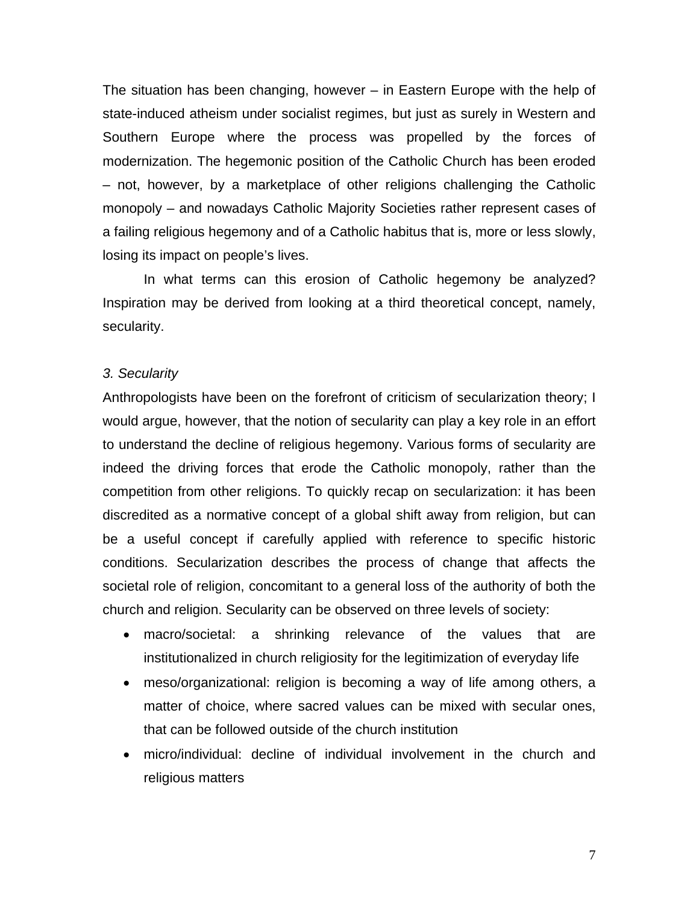The situation has been changing, however – in Eastern Europe with the help of state-induced atheism under socialist regimes, but just as surely in Western and Southern Europe where the process was propelled by the forces of modernization. The hegemonic position of the Catholic Church has been eroded – not, however, by a marketplace of other religions challenging the Catholic monopoly – and nowadays Catholic Majority Societies rather represent cases of a failing religious hegemony and of a Catholic habitus that is, more or less slowly, losing its impact on people's lives.

In what terms can this erosion of Catholic hegemony be analyzed? Inspiration may be derived from looking at a third theoretical concept, namely, secularity.

### *3. Secularity*

Anthropologists have been on the forefront of criticism of secularization theory; I would argue, however, that the notion of secularity can play a key role in an effort to understand the decline of religious hegemony. Various forms of secularity are indeed the driving forces that erode the Catholic monopoly, rather than the competition from other religions. To quickly recap on secularization: it has been discredited as a normative concept of a global shift away from religion, but can be a useful concept if carefully applied with reference to specific historic conditions. Secularization describes the process of change that affects the societal role of religion, concomitant to a general loss of the authority of both the church and religion. Secularity can be observed on three levels of society:

- macro/societal: a shrinking relevance of the values that are institutionalized in church religiosity for the legitimization of everyday life
- meso/organizational: religion is becoming a way of life among others, a matter of choice, where sacred values can be mixed with secular ones, that can be followed outside of the church institution
- micro/individual: decline of individual involvement in the church and religious matters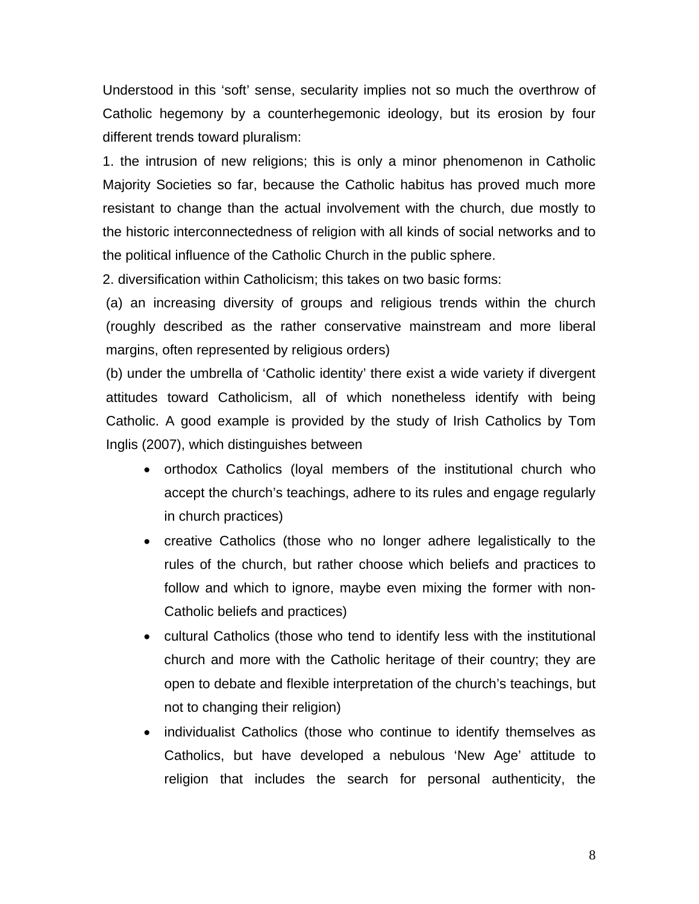Understood in this 'soft' sense, secularity implies not so much the overthrow of Catholic hegemony by a counterhegemonic ideology, but its erosion by four different trends toward pluralism:

1. the intrusion of new religions; this is only a minor phenomenon in Catholic Majority Societies so far, because the Catholic habitus has proved much more resistant to change than the actual involvement with the church, due mostly to the historic interconnectedness of religion with all kinds of social networks and to the political influence of the Catholic Church in the public sphere.

2. diversification within Catholicism; this takes on two basic forms:

(a) an increasing diversity of groups and religious trends within the church (roughly described as the rather conservative mainstream and more liberal margins, often represented by religious orders)

(b) under the umbrella of 'Catholic identity' there exist a wide variety if divergent attitudes toward Catholicism, all of which nonetheless identify with being Catholic. A good example is provided by the study of Irish Catholics by Tom Inglis (2007), which distinguishes between

- orthodox Catholics (loyal members of the institutional church who accept the church's teachings, adhere to its rules and engage regularly in church practices)
- creative Catholics (those who no longer adhere legalistically to the rules of the church, but rather choose which beliefs and practices to follow and which to ignore, maybe even mixing the former with non-Catholic beliefs and practices)
- cultural Catholics (those who tend to identify less with the institutional church and more with the Catholic heritage of their country; they are open to debate and flexible interpretation of the church's teachings, but not to changing their religion)
- individualist Catholics (those who continue to identify themselves as Catholics, but have developed a nebulous 'New Age' attitude to religion that includes the search for personal authenticity, the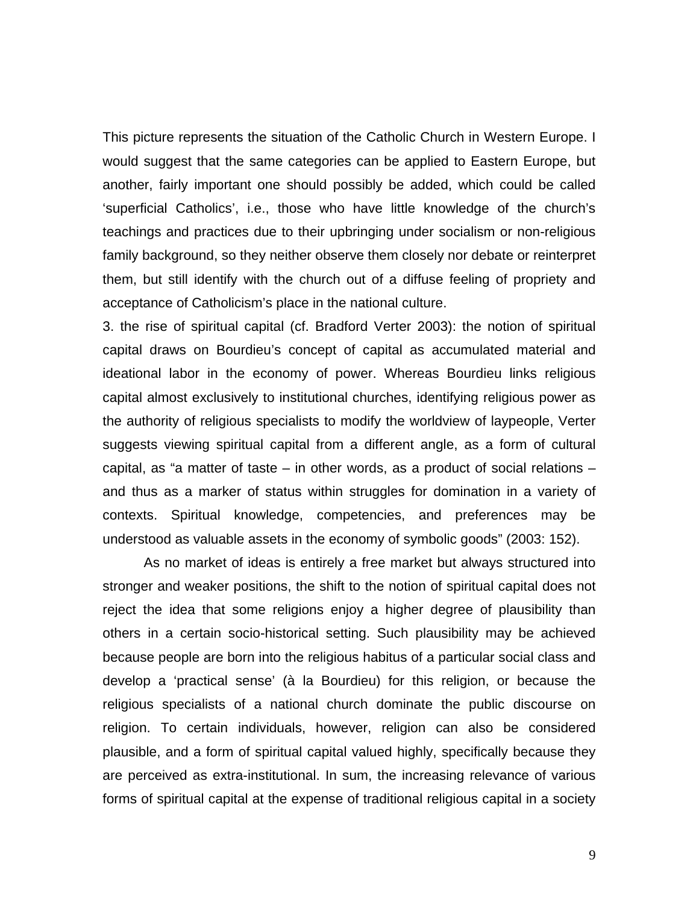This picture represents the situation of the Catholic Church in Western Europe. I would suggest that the same categories can be applied to Eastern Europe, but another, fairly important one should possibly be added, which could be called 'superficial Catholics', i.e., those who have little knowledge of the church's teachings and practices due to their upbringing under socialism or non-religious family background, so they neither observe them closely nor debate or reinterpret them, but still identify with the church out of a diffuse feeling of propriety and acceptance of Catholicism's place in the national culture.

3. the rise of spiritual capital (cf. Bradford Verter 2003): the notion of spiritual capital draws on Bourdieu's concept of capital as accumulated material and ideational labor in the economy of power. Whereas Bourdieu links religious capital almost exclusively to institutional churches, identifying religious power as the authority of religious specialists to modify the worldview of laypeople, Verter suggests viewing spiritual capital from a different angle, as a form of cultural capital, as "a matter of taste – in other words, as a product of social relations – and thus as a marker of status within struggles for domination in a variety of contexts. Spiritual knowledge, competencies, and preferences may be understood as valuable assets in the economy of symbolic goods" (2003: 152).

As no market of ideas is entirely a free market but always structured into stronger and weaker positions, the shift to the notion of spiritual capital does not reject the idea that some religions enjoy a higher degree of plausibility than others in a certain socio-historical setting. Such plausibility may be achieved because people are born into the religious habitus of a particular social class and develop a 'practical sense' (à la Bourdieu) for this religion, or because the religious specialists of a national church dominate the public discourse on religion. To certain individuals, however, religion can also be considered plausible, and a form of spiritual capital valued highly, specifically because they are perceived as extra-institutional. In sum, the increasing relevance of various forms of spiritual capital at the expense of traditional religious capital in a society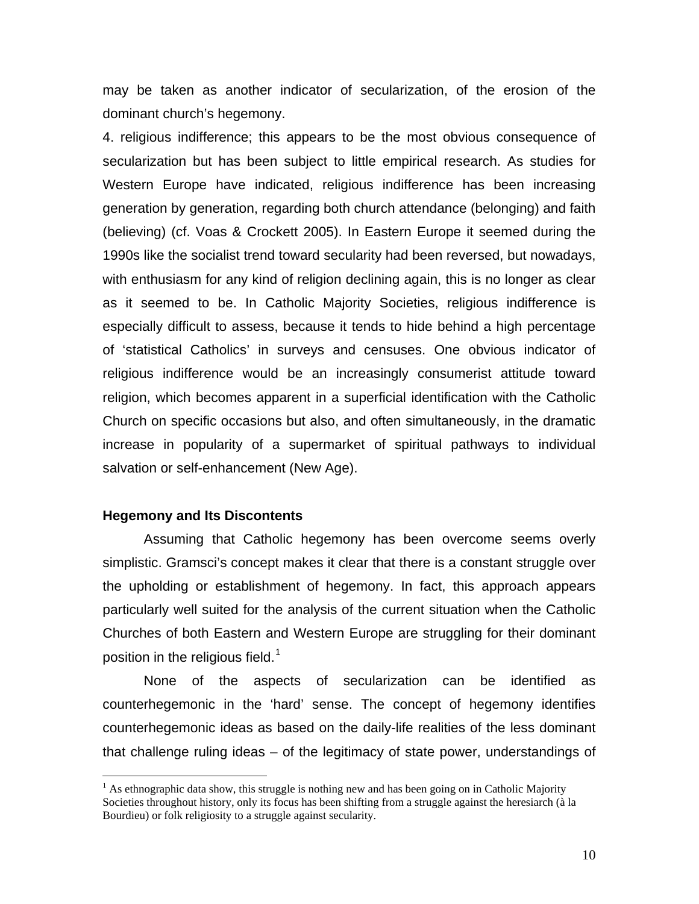may be taken as another indicator of secularization, of the erosion of the dominant church's hegemony.

4. religious indifference; this appears to be the most obvious consequence of secularization but has been subject to little empirical research. As studies for Western Europe have indicated, religious indifference has been increasing generation by generation, regarding both church attendance (belonging) and faith (believing) (cf. Voas & Crockett 2005). In Eastern Europe it seemed during the 1990s like the socialist trend toward secularity had been reversed, but nowadays, with enthusiasm for any kind of religion declining again, this is no longer as clear as it seemed to be. In Catholic Majority Societies, religious indifference is especially difficult to assess, because it tends to hide behind a high percentage of 'statistical Catholics' in surveys and censuses. One obvious indicator of religious indifference would be an increasingly consumerist attitude toward religion, which becomes apparent in a superficial identification with the Catholic Church on specific occasions but also, and often simultaneously, in the dramatic increase in popularity of a supermarket of spiritual pathways to individual salvation or self-enhancement (New Age).

### **Hegemony and Its Discontents**

 $\overline{a}$ 

Assuming that Catholic hegemony has been overcome seems overly simplistic. Gramsci's concept makes it clear that there is a constant struggle over the upholding or establishment of hegemony. In fact, this approach appears particularly well suited for the analysis of the current situation when the Catholic Churches of both Eastern and Western Europe are struggling for their dominant position in the religious field.<sup>[1](#page-9-0)</sup>

None of the aspects of secularization can be identified as counterhegemonic in the 'hard' sense. The concept of hegemony identifies counterhegemonic ideas as based on the daily-life realities of the less dominant that challenge ruling ideas – of the legitimacy of state power, understandings of

<span id="page-9-0"></span> $<sup>1</sup>$  As ethnographic data show, this struggle is nothing new and has been going on in Catholic Majority</sup> Societies throughout history, only its focus has been shifting from a struggle against the heresiarch (à la Bourdieu) or folk religiosity to a struggle against secularity.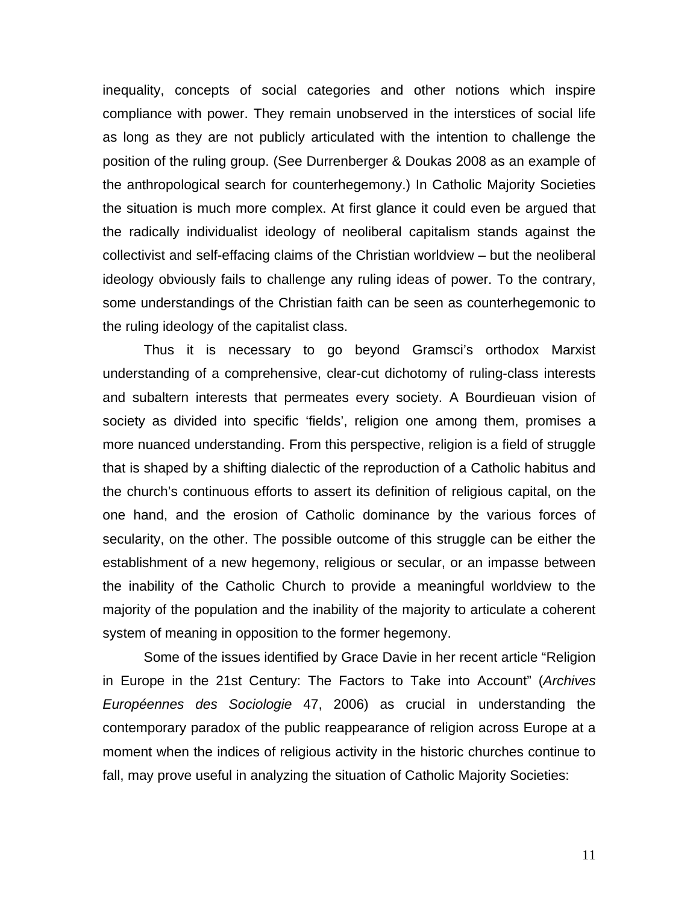inequality, concepts of social categories and other notions which inspire compliance with power. They remain unobserved in the interstices of social life as long as they are not publicly articulated with the intention to challenge the position of the ruling group. (See Durrenberger & Doukas 2008 as an example of the anthropological search for counterhegemony.) In Catholic Majority Societies the situation is much more complex. At first glance it could even be argued that the radically individualist ideology of neoliberal capitalism stands against the collectivist and self-effacing claims of the Christian worldview – but the neoliberal ideology obviously fails to challenge any ruling ideas of power. To the contrary, some understandings of the Christian faith can be seen as counterhegemonic to the ruling ideology of the capitalist class.

Thus it is necessary to go beyond Gramsci's orthodox Marxist understanding of a comprehensive, clear-cut dichotomy of ruling-class interests and subaltern interests that permeates every society. A Bourdieuan vision of society as divided into specific 'fields', religion one among them, promises a more nuanced understanding. From this perspective, religion is a field of struggle that is shaped by a shifting dialectic of the reproduction of a Catholic habitus and the church's continuous efforts to assert its definition of religious capital, on the one hand, and the erosion of Catholic dominance by the various forces of secularity, on the other. The possible outcome of this struggle can be either the establishment of a new hegemony, religious or secular, or an impasse between the inability of the Catholic Church to provide a meaningful worldview to the majority of the population and the inability of the majority to articulate a coherent system of meaning in opposition to the former hegemony.

Some of the issues identified by Grace Davie in her recent article "Religion in Europe in the 21st Century: The Factors to Take into Account" (*Archives Européennes des Sociologie* 47, 2006) as crucial in understanding the contemporary paradox of the public reappearance of religion across Europe at a moment when the indices of religious activity in the historic churches continue to fall, may prove useful in analyzing the situation of Catholic Majority Societies: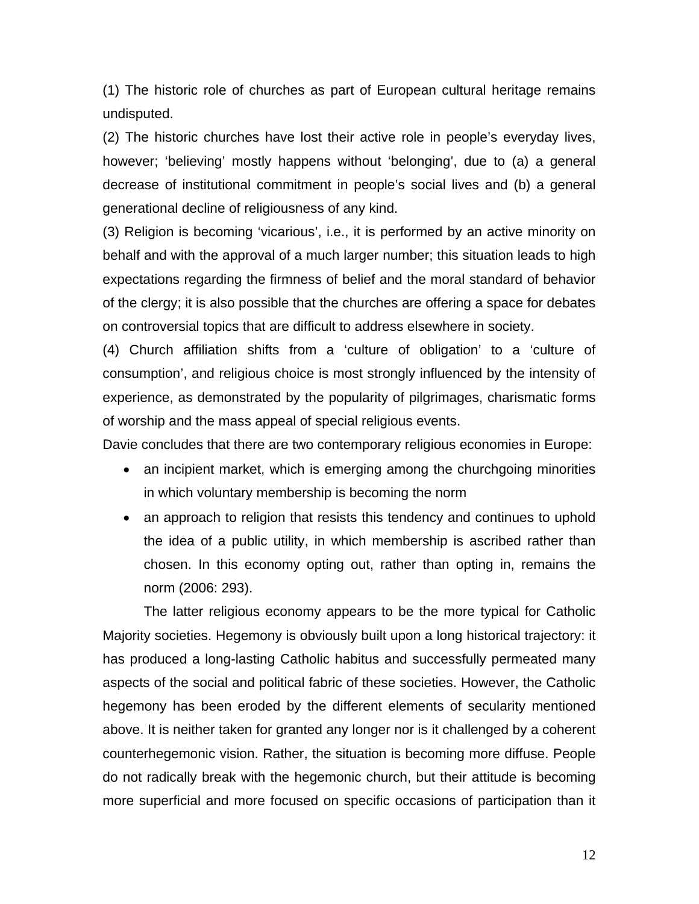(1) The historic role of churches as part of European cultural heritage remains undisputed.

(2) The historic churches have lost their active role in people's everyday lives, however; 'believing' mostly happens without 'belonging', due to (a) a general decrease of institutional commitment in people's social lives and (b) a general generational decline of religiousness of any kind.

(3) Religion is becoming 'vicarious', i.e., it is performed by an active minority on behalf and with the approval of a much larger number; this situation leads to high expectations regarding the firmness of belief and the moral standard of behavior of the clergy; it is also possible that the churches are offering a space for debates on controversial topics that are difficult to address elsewhere in society.

(4) Church affiliation shifts from a 'culture of obligation' to a 'culture of consumption', and religious choice is most strongly influenced by the intensity of experience, as demonstrated by the popularity of pilgrimages, charismatic forms of worship and the mass appeal of special religious events.

Davie concludes that there are two contemporary religious economies in Europe:

- an incipient market, which is emerging among the churchgoing minorities in which voluntary membership is becoming the norm
- an approach to religion that resists this tendency and continues to uphold the idea of a public utility, in which membership is ascribed rather than chosen. In this economy opting out, rather than opting in, remains the norm (2006: 293).

The latter religious economy appears to be the more typical for Catholic Majority societies. Hegemony is obviously built upon a long historical trajectory: it has produced a long-lasting Catholic habitus and successfully permeated many aspects of the social and political fabric of these societies. However, the Catholic hegemony has been eroded by the different elements of secularity mentioned above. It is neither taken for granted any longer nor is it challenged by a coherent counterhegemonic vision. Rather, the situation is becoming more diffuse. People do not radically break with the hegemonic church, but their attitude is becoming more superficial and more focused on specific occasions of participation than it